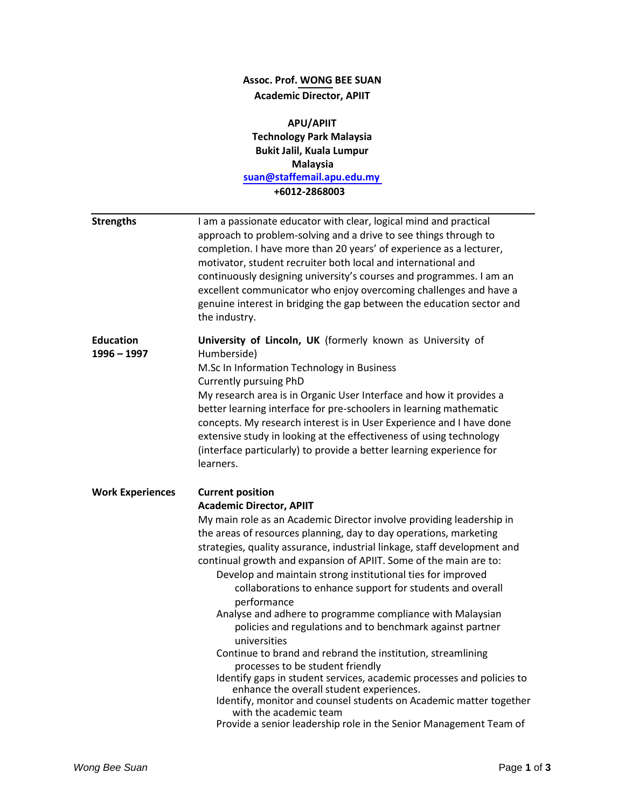## **Assoc. Prof. WONG BEE SUAN Academic Director, APIIT**

**APU/APIIT Technology Park Malaysia Bukit Jalil, Kuala Lumpur Malaysia [suan@staffemail.apu.edu.my](mailto:suan@staffemail.apu.edu.my) +6012-2868003 Strengths** I am a passionate educator with clear, logical mind and practical approach to problem-solving and a drive to see things through to completion. I have more than 20 years' of experience as a lecturer, motivator, student recruiter both local and international and continuously designing university's courses and programmes. I am an excellent communicator who enjoy overcoming challenges and have a genuine interest in bridging the gap between the education sector and the industry. **1996 – 1997 University of Lincoln, UK** (formerly known as University of Humberside) M.Sc In Information Technology in Business Currently pursuing PhD My research area is in Organic User Interface and how it provides a better learning interface for pre-schoolers in learning mathematic concepts. My research interest is in User Experience and I have done

extensive study in looking at the effectiveness of using technology (interface particularly) to provide a better learning experience for learners.

## **Work Experiences Current position**

## **Academic Director, APIIT**

My main role as an Academic Director involve providing leadership in the areas of resources planning, day to day operations, marketing strategies, quality assurance, industrial linkage, staff development and continual growth and expansion of APIIT. Some of the main are to:

- Develop and maintain strong institutional ties for improved collaborations to enhance support for students and overall performance
- Analyse and adhere to programme compliance with Malaysian policies and regulations and to benchmark against partner universities
- Continue to brand and rebrand the institution, streamlining processes to be student friendly
- Identify gaps in student services, academic processes and policies to enhance the overall student experiences.
- Identify, monitor and counsel students on Academic matter together with the academic team
- Provide a senior leadership role in the Senior Management Team of

**Education**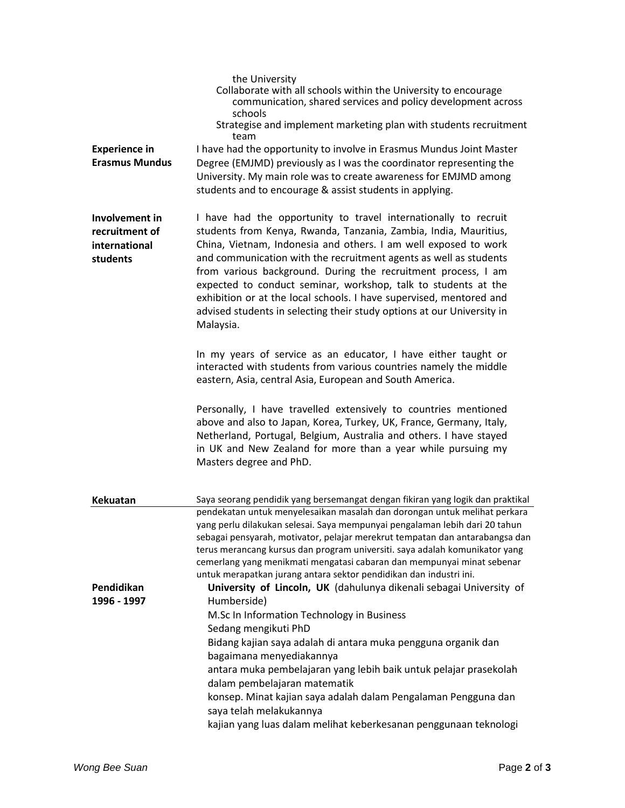|                                                               | the University<br>Collaborate with all schools within the University to encourage<br>communication, shared services and policy development across<br>schools<br>Strategise and implement marketing plan with students recruitment<br>team                                                                                                                                                                                                                                                                                                                                    |
|---------------------------------------------------------------|------------------------------------------------------------------------------------------------------------------------------------------------------------------------------------------------------------------------------------------------------------------------------------------------------------------------------------------------------------------------------------------------------------------------------------------------------------------------------------------------------------------------------------------------------------------------------|
| <b>Experience in</b><br><b>Erasmus Mundus</b>                 | I have had the opportunity to involve in Erasmus Mundus Joint Master<br>Degree (EMJMD) previously as I was the coordinator representing the<br>University. My main role was to create awareness for EMJMD among<br>students and to encourage & assist students in applying.                                                                                                                                                                                                                                                                                                  |
| Involvement in<br>recruitment of<br>international<br>students | I have had the opportunity to travel internationally to recruit<br>students from Kenya, Rwanda, Tanzania, Zambia, India, Mauritius,<br>China, Vietnam, Indonesia and others. I am well exposed to work<br>and communication with the recruitment agents as well as students<br>from various background. During the recruitment process, I am<br>expected to conduct seminar, workshop, talk to students at the<br>exhibition or at the local schools. I have supervised, mentored and<br>advised students in selecting their study options at our University in<br>Malaysia. |
|                                                               | In my years of service as an educator, I have either taught or<br>interacted with students from various countries namely the middle<br>eastern, Asia, central Asia, European and South America.                                                                                                                                                                                                                                                                                                                                                                              |
|                                                               | Personally, I have travelled extensively to countries mentioned<br>above and also to Japan, Korea, Turkey, UK, France, Germany, Italy,<br>Netherland, Portugal, Belgium, Australia and others. I have stayed<br>in UK and New Zealand for more than a year while pursuing my<br>Masters degree and PhD.                                                                                                                                                                                                                                                                      |
| <b>Kekuatan</b>                                               | Saya seorang pendidik yang bersemangat dengan fikiran yang logik dan praktikal                                                                                                                                                                                                                                                                                                                                                                                                                                                                                               |
|                                                               | pendekatan untuk menyelesaikan masalah dan dorongan untuk melihat perkara<br>yang perlu dilakukan selesai. Saya mempunyai pengalaman lebih dari 20 tahun<br>sebagai pensyarah, motivator, pelajar merekrut tempatan dan antarabangsa dan<br>terus merancang kursus dan program universiti. saya adalah komunikator yang<br>cemerlang yang menikmati mengatasi cabaran dan mempunyai minat sebenar<br>untuk merapatkan jurang antara sektor pendidikan dan industri ini.                                                                                                      |
| Pendidikan                                                    | University of Lincoln, UK (dahulunya dikenali sebagai University of                                                                                                                                                                                                                                                                                                                                                                                                                                                                                                          |
| 1996 - 1997                                                   | Humberside)<br>M.Sc In Information Technology in Business                                                                                                                                                                                                                                                                                                                                                                                                                                                                                                                    |
|                                                               | Sedang mengikuti PhD                                                                                                                                                                                                                                                                                                                                                                                                                                                                                                                                                         |
|                                                               | Bidang kajian saya adalah di antara muka pengguna organik dan<br>bagaimana menyediakannya                                                                                                                                                                                                                                                                                                                                                                                                                                                                                    |
|                                                               | antara muka pembelajaran yang lebih baik untuk pelajar prasekolah                                                                                                                                                                                                                                                                                                                                                                                                                                                                                                            |
|                                                               | dalam pembelajaran matematik<br>konsep. Minat kajian saya adalah dalam Pengalaman Pengguna dan                                                                                                                                                                                                                                                                                                                                                                                                                                                                               |
|                                                               | saya telah melakukannya<br>kajian yang luas dalam melihat keberkesanan penggunaan teknologi                                                                                                                                                                                                                                                                                                                                                                                                                                                                                  |
|                                                               |                                                                                                                                                                                                                                                                                                                                                                                                                                                                                                                                                                              |